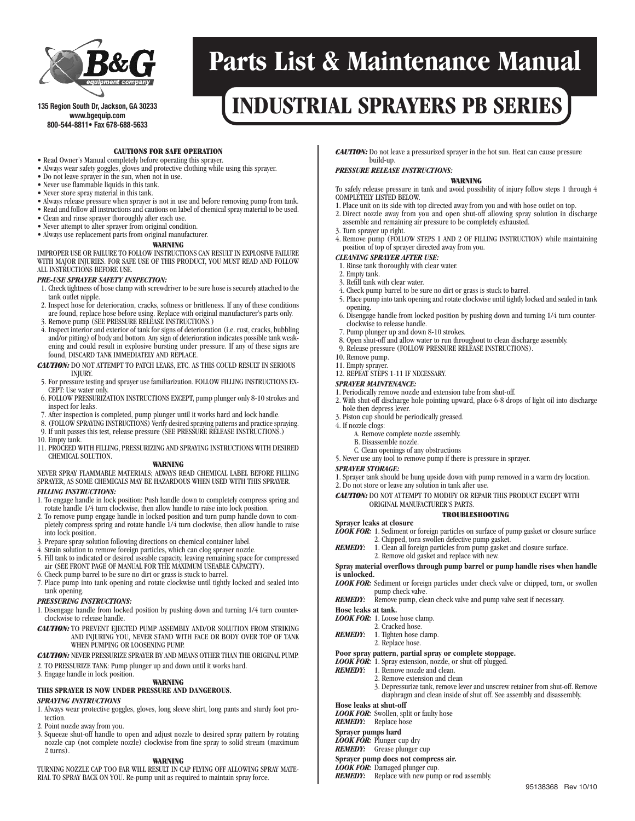

#### **135 Region S ou t h D r, J a c k s o w w w . bg e q u ip . c o m 800-544-8811• Fax 678-688-5633**

# **Parts List & Maintenance Manual**

# **n, GA <sup>30233</sup> INDUSTRIAL SPRAYERS PB SERIES**

## **CAUTIONS FOR SAFE OPERATION**

- Read Owner's Manual completely before operating this sprayer.
- Always wear safety goggles, gloves and protective clothing while using this sprayer.
- Do not leave sprayer in the sun, when not in use.
- Never use flammable liquids in this tank.
- Never store spray material in this tank.
- Always release pressure when sprayer is not in use and before removing pump from tank.
- Read and follow all instructions and cautions on label of chemical spray material to be used.
- Clean and rinse sprayer thoroughly after each use.
- Never attempt to alter sprayer from original condition.
- Always use replacement parts from original manufacturer.

#### **WARNING**

IMPROPER USE OR FAILURE TO FOLLOW INSTRUCTIONS CAN RESULT IN EXPLOSIVE FAILURE WITH MAJOR INJURIES. FOR SAFE USE OF THIS PRODUCT, YOU MUST READ AND FOLLOW ALL INSTRUCTIONS BEFORE USE.

#### *PRE-USE SPRAYER SAFETY INSPECTION:*

- 1. Check tightness of hose clamp with screwdriver to be sure hose is securely attached to the tank outlet nipple.
- 2. Inspect hose for deterioration, cracks, softness or brittleness. If any of these conditions are found, replace hose before using. Replace with original manufacturer's parts only.
- 3. Remove pump (SEE PRESSURE RELEASE INSTRUCTIONS.)
- 4. Inspect interior and exterior of tank for signs of deterioration (i.e. rust, cracks, bubbling and/or pitting) of body and bottom. Any sign of deterioration indicates possible tank weakening and could result in explosive bursting under pressure. If any of these signs are found, DISCARD TANK IMMEDIATELY AND REPLACE.
- *CAUTION:* DO NOT ATTEMPT TO PATCH LEAKS, ETC. AS THIS COULD RESULT IN SERIOUS INJURY.
- 5. For pressuretestingand sprayer usefamiliarization.FOLLOW FILLING INSTRUCTIONS EX-CEPT: Use water only.
- 6. FOLLOW PRESSURIZATION INSTRUCTIONS EXCEPT, pump plunger only 8-10 strokesand inspect for leaks.
- 7. After inspection is completed, pump plunger until it works hard and lock handle.
- 
- 8. (FOLLOW SPRAYING INSTRUCTIONS) Verify desired spraying patternsand practicespraying. 9. If unit passes this test, release pressure (SEE PRESSURE RELEASE INSTRUCTIONS.) 10. Empty tank.
- 11. PROCEED WITH FILLING, PRESSURIZING AND SPRAYING INSTRUCTIONS WITH DESIRED CHEMICAL SOLUTION.

**WARNING**

# NEVER SPRAY FLAMMABLE MATERIALS; ALWAYS READ CHEMICAL LABEL BEFORE FILLING SPRAYER, AS SOME CHEMICALS MAY BE HAZARDOUS WHEN USED WITH THIS SPRAYER.

- *FILLING INSTRUCTIONS:*
- 1. To engage handle in lock position: Push handle down to completely compress spring and rotate handle 1/4 turn clockwise, then allow handle to raise into lock position.
- 2. To remove pump engage handle in locked position and turn pump handle down to completely compress spring and rotate handle 1/4 turn clockwise, then allow handle to raise into lock position.
- 3. Prepare spray solution following directions on chemical container label.
- 4. Strain solution to remove foreign particles, which can clog sprayer nozzle.
- 5. Fill tank to indicated or desired useable capacity, leaving remaining space for compressed air (SEE FRONT PAGE OF MANUAL FOR THE MAXIMUM USEABLE CAPACITY).
- 6. Check pump barrel to be sure no dirt or grass is stuck to barrel.
- 7. Place pump into tank opening and rotate clockwise until tightly locked and sealed into tank opening.

### *PRESSURING INSTRUCTIONS:*

- 1. Disengage handle from locked position by pushing down and turning 1/4 turn counterclockwise to release handle.
- *CAUTION:* TO PREVENT EJECTED PUMP ASSEMBLY AND/OR SOLUTION FROM STRIKING AND INJURING YOU, NEVER STAND WITH FACE OR BODY OVER TOP OF TANK WHEN PUMPING OR LOOSENING PUMP.

*CAUTION:* NEVER PRESSURIZE SPRAYER BY AND MEANS OTHER THAN THE ORIGINAL PUMP.

- 2. TO PRESSURIZE TANK: Pump plunger up and down until it works hard.
- 3. Engage handle in lock position.

#### **WARNING**

# **THIS SPRAYER IS NOW UNDER PRESSURE AND DANGEROUS.**

# *SPRAYING INSTRUCTIONS*

- 1. Always wear protective goggles, gloves, long sleeve shirt, long pants and sturdy foot protection.
- 2. Point nozzle away from you.
- 3. Squeeze shut-off handle to open and adjust nozzle to desired spray pattern by rotating nozzle cap (not complete nozzle) clockwise from fine spray to solid stream (maximum 2 turns).

#### **WARNING**

TURNING NOZZLE CAP TOO FAR WILL RESULT IN CAP FLYING OFF ALLOWING SPRAY MATE-RIAL TO SPRAY BACK ON YOU. Re-pump unit as required to maintain spray force.

*CAUTION:* Do not leave a pressurized sprayer in the hot sun. Heat can cause pressure build-up.

#### *PRESSURE RELEASE INSTRUCTIONS:* **WARNING**

To safely release pressure in tank and avoid possibility of injury follow steps 1 through 4 COMPLETELY LISTED BELOW.

- 1. Place unit on its side with top directed away from you and with hose outlet on top.
- 2. Direct nozzle away from you and open shut-off allowing spray solution in discharge assemble and remaining air pressure to be completely exhausted.
- 3. Turn sprayer up right.
- 4. Remove pump (FOLLOW STEPS 1 AND 2 OF FILLING INSTRUCTION) while maintaining position of top of sprayer directed away from you.

#### *CLEANING SPRAYER AFTER USE:*

- 1. Rinse tank thoroughly with clear water.
- 2. Empty tank.
- 3. Refill tank with clear water.
- 4. Check pump barrel to be sure no dirt or grass is stuck to barrel.
- 5. Place pump into tank opening and rotate clockwise until tightly locked and sealed in tank opening.
- 6. Disengage handle from locked position by pushing down and turning 1/4 turn counterclockwise to release handle.
- 7. Pump plunger up and down 8-10 strokes.
- 8. Open shut-off and allow water to run throughout to clean discharge assembly.
- 9. Release pressure (FOLLOW PRESSURE RELEASE INSTRUCTIONS).
- 10. Remove pump.
- 11. Empty sprayer. 12. REPEAT STEPS 1-11 IF NECESSARY.

# *SPRAYER MAINTENANCE:*

- 1. Periodically remove nozzle and extension tube from shut-off.
- 2. With shut-off discharge hole pointing upward, place 6-8 drops of light oil into discharge hole then depress lever.
- 3. Piston cup should be periodically greased.
- 4. If nozzle clogs: A. Remove complete nozzle assembly.
	- B. Disassemble nozzle.
	- C. Clean openings of any obstructions
- 5. Never use any tool to remove pump if there is pressure in sprayer.

### *SPRAYER STORAGE:*

1. Sprayer tank should be hung upside down with pump removed in a warm dry location.

2. Do not store or leave any solution in tank after use.

*CAUTION:* DO NOT ATTEMPT TO MODIFY OR REPAIR THIS PRODUCT EXCEPT WITH ORIGINAL MANUFACTURER'S PARTS.

#### **TROUBLESHOOTING**

- **Sprayer leaks at closure**
- *LOOK FOR:* 1. Sediment or foreign particles on surface of pump gasket or closure surface
	- 2. Chipped, torn swollen defective pump gasket.
- *REMEDY:* 1. Clean all foreign particles from pump gasket and closure surface. 2. Remove old gasket and replace with new.
- 

#### **Spray material overflows through pump barrel or pump handle rises when handle is unlocked.**

*LOOK FOR:* Sediment or foreign particles under check valve or chipped, torn, or swollen pump check valve.

> 3. Depressurize tank, remove lever and unscrew retainer from shut-off. Remove diaphragm and clean inside of shut off. See assembly and disassembly.

> > 95138368 Rev 10/10

- *REMEDY:* Remove pump, clean check valve and pump valve seat if necessary.
- **Hose leaks at tank.**
- *LOOK FOR:* 1. Loose hose clamp.
- 2. Cracked hose.
- *REMEDY:* 1. Tighten hose clamp.

*REMEDY:* 1. Remove nozzle and clean.

*LOOK FOR:* Swollen, split or faulty hose

2. Replace hose.

**Hose leaks at shut-off**

*REMEDY:* Replace hose **Sprayer pumps hard** *LOOK FOR:* Plunger cup dry *REMEDY:* Grease plunger cup **Sprayer pump does not compress air.** *LOOK FOR:* Damaged plunger cup.

#### **Poor spray pattern, partial spray or complete stoppage.** *LOOK FOR:* 1. Spray extension, nozzle, or shut-off plugged.

2. Remove extension and clean

**REMEDY:** Replace with new pump or rod assembly.